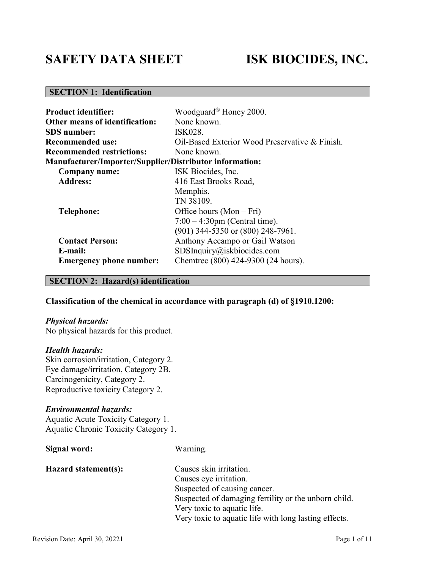# **SAFETY DATA SHEET ISK BIOCIDES, INC.**

# **SECTION 1: Identification**

| <b>Product identifier:</b>                                     | Woodguard <sup>®</sup> Honey 2000.             |
|----------------------------------------------------------------|------------------------------------------------|
| Other means of identification:                                 | None known.                                    |
| <b>SDS</b> number:                                             | ISK028.                                        |
| <b>Recommended use:</b>                                        | Oil-Based Exterior Wood Preservative & Finish. |
| <b>Recommended restrictions:</b>                               | None known.                                    |
| <b>Manufacturer/Importer/Supplier/Distributor information:</b> |                                                |
| Company name:                                                  | ISK Biocides, Inc.                             |
| <b>Address:</b>                                                | 416 East Brooks Road,                          |
|                                                                | Memphis.                                       |
|                                                                | TN 38109.                                      |
| <b>Telephone:</b>                                              | Office hours $(Mon-Fri)$                       |
|                                                                | $7:00 - 4:30$ pm (Central time).               |
|                                                                | (901) 344-5350 or (800) 248-7961.              |
| <b>Contact Person:</b>                                         | Anthony Accampo or Gail Watson                 |
| E-mail:                                                        | SDSInquiry@iskbiocides.com                     |
| <b>Emergency phone number:</b>                                 | Chemtrec (800) 424-9300 (24 hours).            |

#### **SECTION 2: Hazard(s) identification**

#### **Classification of the chemical in accordance with paragraph (d) of §1910.1200:**

#### *Physical hazards:*

No physical hazards for this product.

#### *Health hazards:*

Skin corrosion/irritation, Category 2. Eye damage/irritation, Category 2B. Carcinogenicity, Category 2. Reproductive toxicity Category 2.

#### *Environmental hazards:*

Aquatic Acute Toxicity Category 1. Aquatic Chronic Toxicity Category 1.

| Signal word:         | Warning.                                              |
|----------------------|-------------------------------------------------------|
| Hazard statement(s): | Causes skin irritation.                               |
|                      | Causes eye irritation.                                |
|                      | Suspected of causing cancer.                          |
|                      | Suspected of damaging fertility or the unborn child.  |
|                      | Very toxic to aquatic life.                           |
|                      | Very toxic to aquatic life with long lasting effects. |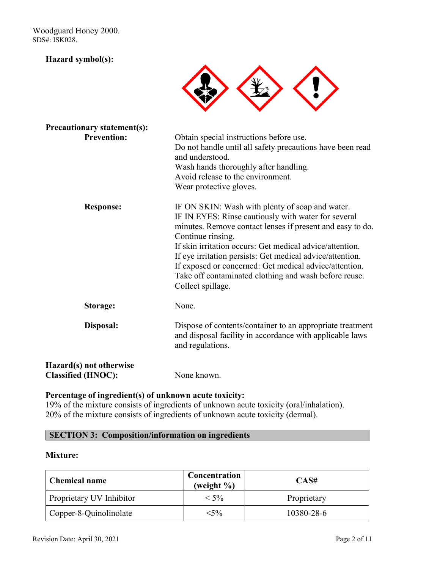Woodguard Honey 2000. SDS#: ISK028.

#### **Hazard symbol(s):**



| <b>Precautionary statement(s):</b>                   |                                                                                                                                                                                                                                                                                                                                                                                                                                                           |
|------------------------------------------------------|-----------------------------------------------------------------------------------------------------------------------------------------------------------------------------------------------------------------------------------------------------------------------------------------------------------------------------------------------------------------------------------------------------------------------------------------------------------|
| <b>Prevention:</b>                                   | Obtain special instructions before use.<br>Do not handle until all safety precautions have been read<br>and understood.<br>Wash hands thoroughly after handling.<br>Avoid release to the environment.<br>Wear protective gloves.                                                                                                                                                                                                                          |
| <b>Response:</b>                                     | IF ON SKIN: Wash with plenty of soap and water.<br>IF IN EYES: Rinse cautiously with water for several<br>minutes. Remove contact lenses if present and easy to do.<br>Continue rinsing.<br>If skin irritation occurs: Get medical advice/attention.<br>If eye irritation persists: Get medical advice/attention.<br>If exposed or concerned: Get medical advice/attention.<br>Take off contaminated clothing and wash before reuse.<br>Collect spillage. |
| Storage:                                             | None.                                                                                                                                                                                                                                                                                                                                                                                                                                                     |
| Disposal:                                            | Dispose of contents/container to an appropriate treatment<br>and disposal facility in accordance with applicable laws<br>and regulations.                                                                                                                                                                                                                                                                                                                 |
| Hazard(s) not otherwise<br><b>Classified (HNOC):</b> | None known.                                                                                                                                                                                                                                                                                                                                                                                                                                               |

### **Percentage of ingredient(s) of unknown acute toxicity:**

19% of the mixture consists of ingredients of unknown acute toxicity (oral/inhalation). 20% of the mixture consists of ingredients of unknown acute toxicity (dermal).

### **SECTION 3: Composition/information on ingredients**

#### **Mixture:**

| <b>Chemical name</b>     | Concentration<br>(weight $\%$ ) | CAS#        |
|--------------------------|---------------------------------|-------------|
| Proprietary UV Inhibitor | $<$ 5%                          | Proprietary |
| Copper-8-Quinolinolate   | $<$ 5%                          | 10380-28-6  |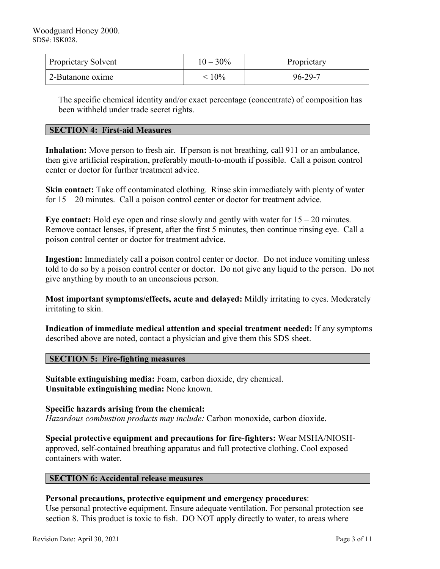| <b>Proprietary Solvent</b> | $10 - 30\%$ | Proprietary |
|----------------------------|-------------|-------------|
| 2-Butanone oxime           | $\leq 10\%$ | 96-29-7     |

The specific chemical identity and/or exact percentage (concentrate) of composition has been withheld under trade secret rights.

#### **SECTION 4: First-aid Measures**

**Inhalation:** Move person to fresh air. If person is not breathing, call 911 or an ambulance, then give artificial respiration, preferably mouth-to-mouth if possible. Call a poison control center or doctor for further treatment advice.

**Skin contact:** Take off contaminated clothing. Rinse skin immediately with plenty of water for 15 – 20 minutes. Call a poison control center or doctor for treatment advice.

**Eye contact:** Hold eye open and rinse slowly and gently with water for 15 – 20 minutes. Remove contact lenses, if present, after the first 5 minutes, then continue rinsing eye. Call a poison control center or doctor for treatment advice.

**Ingestion:** Immediately call a poison control center or doctor. Do not induce vomiting unless told to do so by a poison control center or doctor. Do not give any liquid to the person. Do not give anything by mouth to an unconscious person.

**Most important symptoms/effects, acute and delayed:** Mildly irritating to eyes. Moderately irritating to skin.

**Indication of immediate medical attention and special treatment needed:** If any symptoms described above are noted, contact a physician and give them this SDS sheet.

#### **SECTION 5: Fire-fighting measures**

**Suitable extinguishing media:** Foam, carbon dioxide, dry chemical. **Unsuitable extinguishing media:** None known.

**Specific hazards arising from the chemical:** *Hazardous combustion products may include:* Carbon monoxide, carbon dioxide.

**Special protective equipment and precautions for fire-fighters:** Wear MSHA/NIOSHapproved, self-contained breathing apparatus and full protective clothing. Cool exposed containers with water.

#### **SECTION 6: Accidental release measures**

#### **Personal precautions, protective equipment and emergency procedures**:

Use personal protective equipment. Ensure adequate ventilation. For personal protection see section 8. This product is toxic to fish. DO NOT apply directly to water, to areas where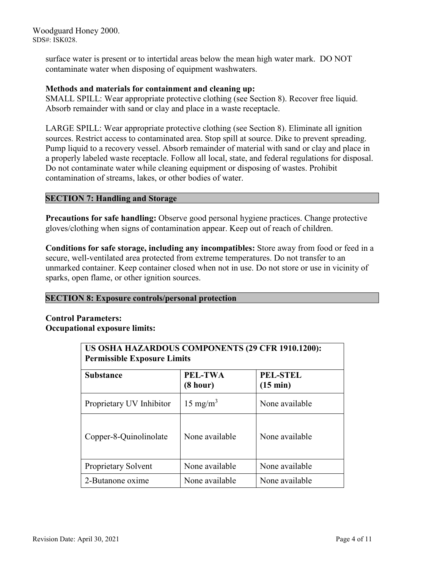Woodguard Honey 2000. SDS#: ISK028.

> surface water is present or to intertidal areas below the mean high water mark. DO NOT contaminate water when disposing of equipment washwaters.

#### **Methods and materials for containment and cleaning up:**

SMALL SPILL: Wear appropriate protective clothing (see Section 8). Recover free liquid. Absorb remainder with sand or clay and place in a waste receptacle.

LARGE SPILL: Wear appropriate protective clothing (see Section 8). Eliminate all ignition sources. Restrict access to contaminated area. Stop spill at source. Dike to prevent spreading. Pump liquid to a recovery vessel. Absorb remainder of material with sand or clay and place in a properly labeled waste receptacle. Follow all local, state, and federal regulations for disposal. Do not contaminate water while cleaning equipment or disposing of wastes. Prohibit contamination of streams, lakes, or other bodies of water.

### **SECTION 7: Handling and Storage**

**Precautions for safe handling:** Observe good personal hygiene practices. Change protective gloves/clothing when signs of contamination appear. Keep out of reach of children.

**Conditions for safe storage, including any incompatibles:** Store away from food or feed in a secure, well-ventilated area protected from extreme temperatures. Do not transfer to an unmarked container. Keep container closed when not in use. Do not store or use in vicinity of sparks, open flame, or other ignition sources.

#### **SECTION 8: Exposure controls/personal protection**

### **Control Parameters: Occupational exposure limits:**

| US OSHA HAZARDOUS COMPONENTS (29 CFR 1910.1200):<br><b>Permissible Exposure Limits</b> |                     |                                       |
|----------------------------------------------------------------------------------------|---------------------|---------------------------------------|
| <b>Substance</b>                                                                       | PEL-TWA<br>(8 hour) | <b>PEL-STEL</b><br>$(15 \text{ min})$ |
| Proprietary UV Inhibitor                                                               | $15 \text{ mg/m}^3$ | None available                        |
| Copper-8-Quinolinolate                                                                 | None available      | None available                        |
| Proprietary Solvent                                                                    | None available      | None available                        |
| 2-Butanone oxime                                                                       | None available      | None available                        |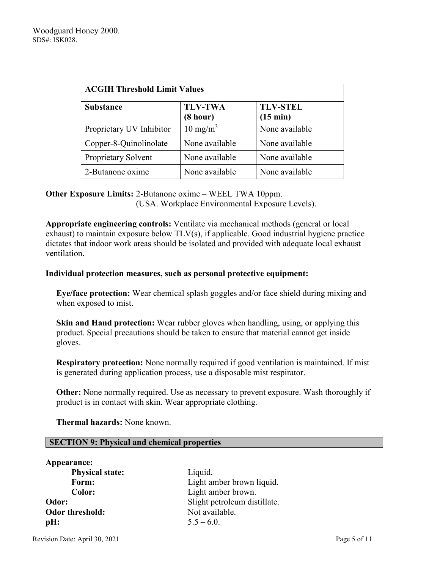| <b>ACGIH Threshold Limit Values</b> |                            |                                       |
|-------------------------------------|----------------------------|---------------------------------------|
| <b>Substance</b>                    | <b>TLV-TWA</b><br>(8 hour) | <b>TLV-STEL</b><br>$(15 \text{ min})$ |
| Proprietary UV Inhibitor            | $10 \text{ mg/m}^3$        | None available                        |
| Copper-8-Quinolinolate              | None available             | None available                        |
| Proprietary Solvent                 | None available             | None available                        |
| 2-Butanone oxime                    | None available             | None available                        |

## **Other Exposure Limits:** 2-Butanone oxime – WEEL TWA 10ppm. (USA. Workplace Environmental Exposure Levels).

**Appropriate engineering controls:** Ventilate via mechanical methods (general or local exhaust) to maintain exposure below TLV(s), if applicable. Good industrial hygiene practice dictates that indoor work areas should be isolated and provided with adequate local exhaust ventilation.

### **Individual protection measures, such as personal protective equipment:**

**Eye/face protection:** Wear chemical splash goggles and/or face shield during mixing and when exposed to mist.

**Skin and Hand protection:** Wear rubber gloves when handling, using, or applying this product. Special precautions should be taken to ensure that material cannot get inside gloves.

**Respiratory protection:** None normally required if good ventilation is maintained. If mist is generated during application process, use a disposable mist respirator.

**Other:** None normally required. Use as necessary to prevent exposure. Wash thoroughly if product is in contact with skin. Wear appropriate clothing.

 **Thermal hazards:** None known.

#### **SECTION 9: Physical and chemical properties**

| Appearance:            |                              |
|------------------------|------------------------------|
| <b>Physical state:</b> | Liquid.                      |
| Form:                  | Light amber brown liquid.    |
| Color:                 | Light amber brown.           |
| Odor:                  | Slight petroleum distillate. |
| Odor threshold:        | Not available.               |
| pH:                    | $5.5 - 6.0$ .                |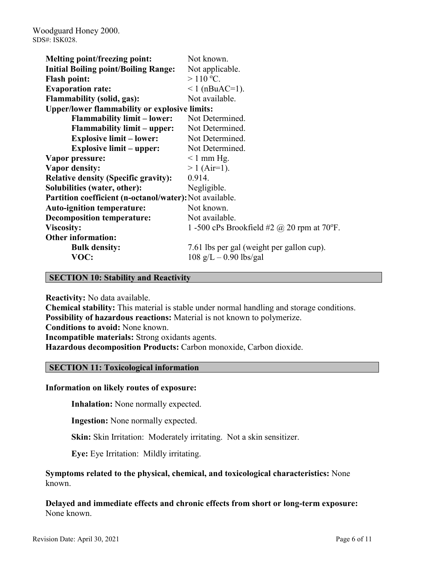| Melting point/freezing point:                           | Not known.                                        |
|---------------------------------------------------------|---------------------------------------------------|
| <b>Initial Boiling point/Boiling Range:</b>             | Not applicable.                                   |
| <b>Flash point:</b>                                     | $>110$ °C.                                        |
| <b>Evaporation rate:</b>                                | $1$ (nBuAC=1).                                    |
| <b>Flammability (solid, gas):</b>                       | Not available.                                    |
| <b>Upper/lower flammability or explosive limits:</b>    |                                                   |
| <b>Flammability limit – lower:</b>                      | Not Determined.                                   |
| <b>Flammability limit – upper:</b>                      | Not Determined.                                   |
| <b>Explosive limit – lower:</b>                         | Not Determined.                                   |
| <b>Explosive limit – upper:</b>                         | Not Determined.                                   |
| Vapor pressure:                                         | $\leq 1$ mm Hg.                                   |
| <b>Vapor density:</b>                                   | $> 1$ (Air=1).                                    |
| <b>Relative density (Specific gravity):</b>             | 0.914.                                            |
| Solubilities (water, other):                            | Negligible.                                       |
| Partition coefficient (n-octanol/water): Not available. |                                                   |
| <b>Auto-ignition temperature:</b>                       | Not known.                                        |
| <b>Decomposition temperature:</b>                       | Not available.                                    |
| <b>Viscosity:</b>                                       | 1 -500 cPs Brookfield #2 $\omega$ 20 rpm at 70°F. |
| <b>Other information:</b>                               |                                                   |
| <b>Bulk density:</b>                                    | 7.61 lbs per gal (weight per gallon cup).         |
| VOC:                                                    | $108 \text{ g/L} - 0.90 \text{ lbs/gal}$          |

#### **SECTION 10: Stability and Reactivity**

**Reactivity:** No data available.

**Chemical stability:** This material is stable under normal handling and storage conditions. **Possibility of hazardous reactions:** Material is not known to polymerize. **Conditions to avoid:** None known. **Incompatible materials:** Strong oxidants agents. **Hazardous decomposition Products:** Carbon monoxide, Carbon dioxide.

#### **SECTION 11: Toxicological information**

#### **Information on likely routes of exposure:**

**Inhalation:** None normally expected.

**Ingestion:** None normally expected.

**Skin:** Skin Irritation: Moderately irritating. Not a skin sensitizer.

**Eye:** Eye Irritation: Mildly irritating.

**Symptoms related to the physical, chemical, and toxicological characteristics:** None known.

**Delayed and immediate effects and chronic effects from short or long-term exposure:** None known.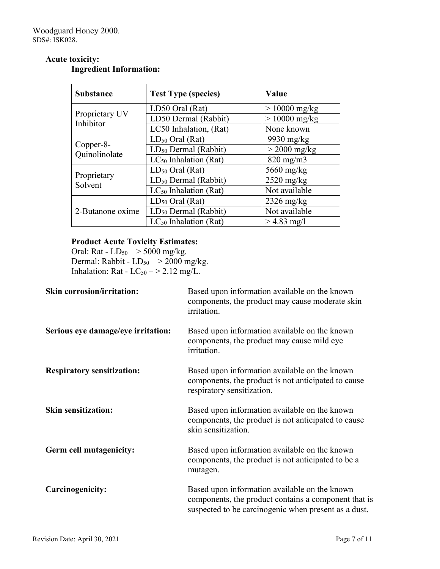# **Acute toxicity:**

# **Ingredient Information:**

| <b>Substance</b>            | <b>Test Type (species)</b>       | Value                |
|-----------------------------|----------------------------------|----------------------|
| Proprietary UV<br>Inhibitor | LD50 Oral (Rat)                  | $> 10000$ mg/kg      |
|                             | LD50 Dermal (Rabbit)             | $> 10000$ mg/kg      |
|                             | LC50 Inhalation, (Rat)           | None known           |
|                             | $LD_{50}$ Oral (Rat)             | 9930 mg/ $kg$        |
| Copper-8-<br>Quinolinolate  | $LD_{50}$ Dermal (Rabbit)        | $>$ 2000 mg/kg       |
|                             | $LC_{50}$ Inhalation (Rat)       | $820$ mg/m $3$       |
|                             | $LD_{50}$ Oral (Rat)             | $5660$ mg/kg         |
| Proprietary<br>Solvent      | LD <sub>50</sub> Dermal (Rabbit) | $2520$ mg/kg         |
|                             | $LC_{50}$ Inhalation (Rat)       | Not available        |
|                             | $LD_{50}$ Oral (Rat)             | $2326 \text{ mg/kg}$ |
| 2-Butanone oxime            | LD <sub>50</sub> Dermal (Rabbit) | Not available        |
|                             | $LC_{50}$ Inhalation (Rat)       | $> 4.83$ mg/l        |

# **Product Acute Toxicity Estimates:**

Oral: Rat -  $LD_{50} \rightarrow 5000$  mg/kg. Dermal: Rabbit -  $LD_{50} \rightarrow 2000$  mg/kg. Inhalation: Rat -  $LC_{50}$   $-$  > 2.12 mg/L.

| <b>Skin corrosion/irritation:</b>  | Based upon information available on the known<br>components, the product may cause moderate skin<br>irritation.                                               |
|------------------------------------|---------------------------------------------------------------------------------------------------------------------------------------------------------------|
| Serious eye damage/eye irritation: | Based upon information available on the known<br>components, the product may cause mild eye<br>irritation.                                                    |
| <b>Respiratory sensitization:</b>  | Based upon information available on the known<br>components, the product is not anticipated to cause<br>respiratory sensitization.                            |
| <b>Skin sensitization:</b>         | Based upon information available on the known<br>components, the product is not anticipated to cause<br>skin sensitization.                                   |
| Germ cell mutagenicity:            | Based upon information available on the known<br>components, the product is not anticipated to be a<br>mutagen.                                               |
| Carcinogenicity:                   | Based upon information available on the known<br>components, the product contains a component that is<br>suspected to be carcinogenic when present as a dust. |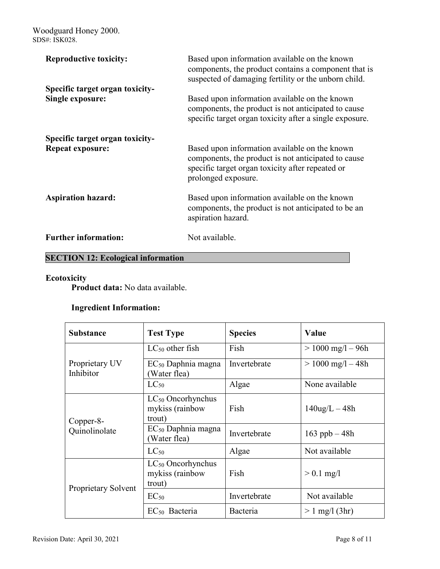Woodguard Honey 2000. SDS#: ISK028.

| <b>Reproductive toxicity:</b>                              | Based upon information available on the known<br>components, the product contains a component that is<br>suspected of damaging fertility or the unborn child.                   |
|------------------------------------------------------------|---------------------------------------------------------------------------------------------------------------------------------------------------------------------------------|
| Specific target organ toxicity-<br><b>Single exposure:</b> | Based upon information available on the known                                                                                                                                   |
|                                                            | components, the product is not anticipated to cause<br>specific target organ toxicity after a single exposure.                                                                  |
| Specific target organ toxicity-                            |                                                                                                                                                                                 |
| <b>Repeat exposure:</b>                                    | Based upon information available on the known<br>components, the product is not anticipated to cause<br>specific target organ toxicity after repeated or<br>prolonged exposure. |
| <b>Aspiration hazard:</b>                                  | Based upon information available on the known<br>components, the product is not anticipated to be an<br>aspiration hazard.                                                      |
| <b>Further information:</b>                                | Not available.                                                                                                                                                                  |

# **SECTION 12: Ecological information**

# **Ecotoxicity**

**Product data:** No data available.

# **Ingredient Information:**

| <b>Substance</b>            | <b>Test Type</b>                                    | <b>Species</b> | Value                 |
|-----------------------------|-----------------------------------------------------|----------------|-----------------------|
| Proprietary UV<br>Inhibitor | $LC_{50}$ other fish                                | Fish           | $> 1000$ mg/l $- 96h$ |
|                             | $EC_{50}$ Daphnia magna<br>Water flea)              | Invertebrate   | $> 1000$ mg/l $- 48h$ |
|                             | $LC_{50}$                                           | Algae          | None available        |
| Copper-8-<br>Quinolinolate  | $LC_{50}$ Oncorhynchus<br>mykiss (rainbow<br>trout) | Fish           | $140$ ug/L $-48h$     |
|                             | $EC_{50}$ Daphnia magna<br>Water flea)              | Invertebrate   | 163 ppb $-48h$        |
|                             | $LC_{50}$                                           | Algae          | Not available         |
| Proprietary Solvent         | $LC_{50}$ Oncorhynchus<br>mykiss (rainbow<br>trout) | Fish           | $> 0.1$ mg/l          |
|                             | $EC_{50}$                                           | Invertebrate   | Not available         |
|                             | $EC_{50}$ Bacteria                                  | Bacteria       | $> 1$ mg/l (3hr)      |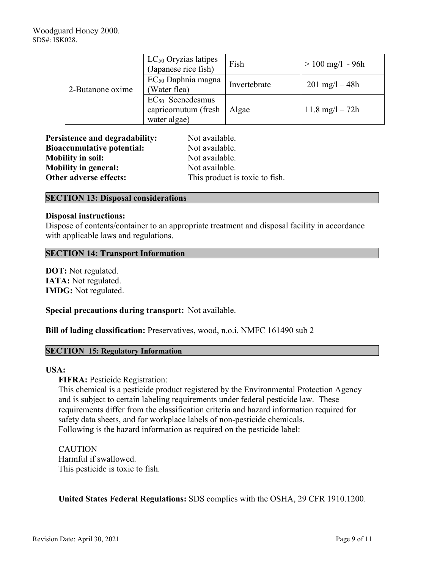| 2-Butanone oxime | LC <sub>50</sub> Oryzias latipes<br>(Japanese rice fish)      | Fish         | $> 100$ mg/l - 96h        |
|------------------|---------------------------------------------------------------|--------------|---------------------------|
|                  | $EC_{50}$ Daphnia magna<br>(Water flea)                       | Invertebrate | $201 \text{ mg}/1 - 48h$  |
|                  | $EC_{50}$ Scenedesmus<br>capricornutum (fresh<br>water algae) | Algae        | $11.8 \text{ mg}/1 - 72h$ |

| <b>Persistence and degradability:</b> | Not available.                 |  |
|---------------------------------------|--------------------------------|--|
| <b>Bioaccumulative potential:</b>     | Not available.                 |  |
| <b>Mobility in soil:</b>              | Not available.                 |  |
| <b>Mobility in general:</b>           | Not available.                 |  |
| Other adverse effects:                | This product is toxic to fish. |  |

#### **SECTION 13: Disposal considerations**

#### **Disposal instructions:**

Dispose of contents/container to an appropriate treatment and disposal facility in accordance with applicable laws and regulations.

#### **SECTION 14: Transport Information**

**DOT:** Not regulated. **IATA:** Not regulated. **IMDG:** Not regulated.

**Special precautions during transport:** Not available.

**Bill of lading classification:** Preservatives, wood, n.o.i. NMFC 161490 sub 2

#### **SECTION 15: Regulatory Information**

#### **USA:**

**FIFRA: Pesticide Registration:** 

This chemical is a pesticide product registered by the Environmental Protection Agency and is subject to certain labeling requirements under federal pesticide law. These requirements differ from the classification criteria and hazard information required for safety data sheets, and for workplace labels of non-pesticide chemicals. Following is the hazard information as required on the pesticide label:

CAUTION Harmful if swallowed. This pesticide is toxic to fish.

**United States Federal Regulations:** SDS complies with the OSHA, 29 CFR 1910.1200.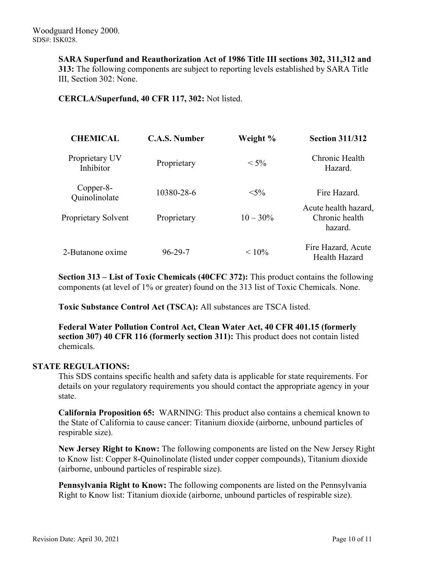**SARA Superfund and Reauthorization Act of 1986 Title III sections 302, 311,312 and 313:** The following components are subject to reporting levels established by SARA Title III, Section 302: None.

**CERCLA/Superfund, 40 CFR 117, 302:** Not listed.

| <b>CHEMICAL</b>             | <b>C.A.S. Number</b> | Weight %    | <b>Section 311/312</b>                            |
|-----------------------------|----------------------|-------------|---------------------------------------------------|
| Proprietary UV<br>Inhibitor | Proprietary          | $< 5\%$     | Chronic Health<br>Hazard.                         |
| Copper-8-<br>Quinolinolate  | 10380-28-6           | $< 5\%$     | Fire Hazard.                                      |
| Proprietary Solvent         | Proprietary          | $10 - 30\%$ | Acute health hazard,<br>Chronic health<br>hazard. |
| 2-Butanone oxime            | $96 - 29 - 7$        | $< 10\%$    | Fire Hazard, Acute<br>Health Hazard               |

**Section 313 – List of Toxic Chemicals (40CFC 372):** This product contains the following components (at level of 1% or greater) found on the 313 list of Toxic Chemicals. None.

**Toxic Substance Control Act (TSCA):** All substances are TSCA listed.

**Federal Water Pollution Control Act, Clean Water Act, 40 CFR 401.15 (formerly section 307) 40 CFR 116 (formerly section 311):** This product does not contain listed chemicals.

#### **STATE REGULATIONS:**

This SDS contains specific health and safety data is applicable for state requirements. For details on your regulatory requirements you should contact the appropriate agency in your state.

**California Proposition 65:** WARNING: This product also contains a chemical known to the State of California to cause cancer: Titanium dioxide (airborne, unbound particles of respirable size).

**New Jersey Right to Know:** The following components are listed on the New Jersey Right to Know list: Copper 8-Quinolinolate (listed under copper compounds), Titanium dioxide (airborne, unbound particles of respirable size).

**Pennsylvania Right to Know:** The following components are listed on the Pennsylvania Right to Know list: Titanium dioxide (airborne, unbound particles of respirable size).